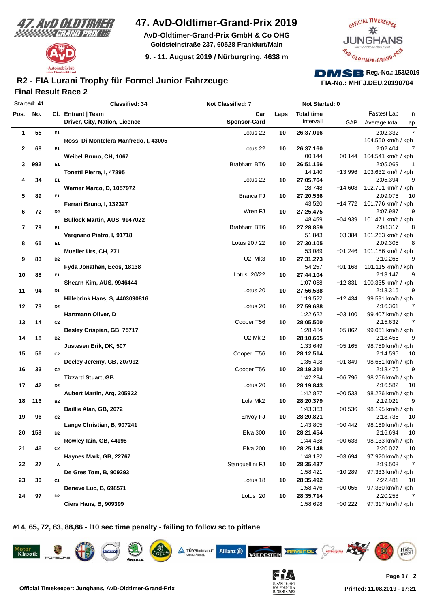



### **47. AvD-Oldtimer-Grand-Prix 2019**

**AvD-Oldtimer-Grand-Prix GmbH & Co OHG Goldsteinstraße 237, 60528 Frankfurt/Main**

**9. - 11. August 2019 / Nürburgring, 4638 m**



# **FIA-No.: MHFJ.DEU.20190704**

### **Final Result Race 2 R2 - FIA Lurani Trophy für Formel Junior Fahrzeuge**

| Started: 41  |     |                | <b>Classified: 34</b>                 | <b>Not Classified: 7</b>        |      | Not Started: 0    |            |                            |
|--------------|-----|----------------|---------------------------------------|---------------------------------|------|-------------------|------------|----------------------------|
| Pos. No.     |     |                | Cl. Entrant   Team                    | Car                             | Laps | <b>Total time</b> |            | Fastest Lap<br>in          |
|              |     |                | Driver, City, Nation, Licence         | <b>Sponsor-Card</b>             |      | Intervall         | <b>GAP</b> | Average total<br>Lap       |
| 1            | 55  | E1             |                                       | Lotus 22                        | 10   | 26:37.016         |            | 2:02.332<br>7              |
|              |     |                | Rossi Di Montelera Manfredo, I, 43005 |                                 |      |                   |            | 104.550 km/h / kph         |
| $\mathbf{2}$ | 68  | E <sub>1</sub> |                                       | Lotus 22                        | 10   | 26:37.160         |            | 2:02.404<br>7              |
|              |     |                | Weibel Bruno, CH, 1067                |                                 |      | 00.144            | $+00.144$  | 104.541 km/h / kph         |
| 3            | 992 | E <sub>1</sub> |                                       | Brabham BT6                     | 10   | 26:51.156         |            | 2:05.069<br>1              |
|              |     |                | Tonetti Pierre, I, 47895              |                                 |      | 14.140            | +13.996    | 103.632 km/h / kph         |
| 4            | 34  | E <sub>1</sub> |                                       | Lotus 22                        | 10   | 27:05.764         |            | 2:05.394<br>g              |
|              |     |                | Werner Marco, D, 1057972              |                                 |      | 28.748            | $+14.608$  | 102.701 km/h / kph         |
| 5            | 89  | E <sub>1</sub> |                                       | Branca FJ                       | 10   | 27:20.536         |            | 1 <sup>C</sup><br>2:09.076 |
|              |     |                | Ferrari Bruno, I, 132327              |                                 |      | 43.520            | $+14.772$  | 101.776 km/h / kph         |
| 6            | 72  | D <sub>2</sub> |                                       | Wren FJ                         | 10   | 27:25.475         |            | 2:07.987<br>g              |
|              |     |                | Bullock Martin, AUS, 9947022          |                                 |      | 48.459            | $+04.939$  | 101.471 km/h / kph         |
| 7            | 79  | E <sub>1</sub> |                                       | Brabham BT6                     | 10   | 27:28.859         |            | 2:08.317<br>8              |
|              |     |                | Vergnano Pietro, I, 91718             |                                 |      | 51.843            | $+03.384$  | 101.263 km/h / kph         |
| 8            | 65  | E1             |                                       | Lotus 20 / 22                   | 10   | 27:30.105         |            | 2:09.305<br>8              |
|              |     |                | Mueller Urs, CH, 271                  |                                 |      | 53.089            | $+01.246$  | 101.186 km/h / kph         |
| 9            | 83  | D <sub>2</sub> |                                       | U <sub>2</sub> M <sub>k</sub> 3 | 10   | 27:31.273         |            | 2:10.265<br>g              |
|              |     |                | Fyda Jonathan, Ecos, 18138            |                                 |      | 54.257            | $+01.168$  | 101.115 km/h / kph         |
| 10           | 88  | E <sub>1</sub> |                                       | Lotus 20/22                     | 10   | 27:44.104         |            | 2:13.147<br>g              |
|              |     |                | Shearn Kim, AUS, 9946444              |                                 |      | 1:07.088          | $+12.831$  | 100.335 km/h / kph         |
| 11           | 94  | D1             |                                       | Lotus 20                        | 10   | 27:56.538         |            | 2:13.316<br>g              |
|              |     |                | <b>Hillebrink Hans, S, 4403090816</b> |                                 |      | 1:19.522          | $+12.434$  | 99.591 km/h / kph          |
| 12           | 73  | D <sub>2</sub> |                                       | Lotus <sub>20</sub>             | 10   | 27:59.638         |            | 2:16.361<br>7              |
|              |     |                | Hartmann Oliver, D                    |                                 |      | 1:22.622          | $+03.100$  | 99.407 km/h / kph          |
| 13           | 14  | C <sub>2</sub> |                                       | Cooper T56                      | 10   | 28:05.500         |            | 2:15.632<br>7              |
|              |     |                | Besley Crispian, GB, 75717            |                                 |      | 1:28.484          | $+05.862$  | 99.061 km/h / kph          |
| 14           | 18  | <b>B2</b>      |                                       | <b>U2 Mk 2</b>                  | 10   | 28:10.665         |            | 2:18.456<br>g              |
|              |     |                | Justesen Erik, DK, 507                |                                 |      | 1:33.649          | $+05.165$  | 98.759 km/h / kph          |
| 15           | 56  | C <sub>2</sub> |                                       | Cooper T56                      | 10   | 28:12.514         |            | 2:14.596<br>10             |
|              |     |                | Deeley Jeremy, GB, 207992             |                                 |      | 1:35.498          | $+01.849$  | 98.651 km/h / kph          |
| 16           | 33  | C <sub>2</sub> |                                       | Cooper T56                      | 10   | 28:19.310         |            | g<br>2:18.476              |
|              |     |                | <b>Tizzard Stuart, GB</b>             |                                 |      | 1:42.294          | $+06.796$  | 98.256 km/h / kph          |
| 17           | 42  | D <sub>2</sub> |                                       | Lotus 20                        | 10   | 28:19.843         |            | 2:16.582<br>10             |
|              |     |                | Aubert Martin, Arg, 205922            |                                 |      | 1:42.827          | $+00.533$  | 98.226 km/h / kph          |
| 18           | 116 | <b>B2</b>      |                                       | Lola Mk2                        | 10   | 28:20.379         |            | 2:19.021<br>g              |
|              |     |                | Baillie Alan, GB, 2072                |                                 |      | 1:43.363          | $+00.536$  | 98.195 km/h / kph          |
| 19           | 96  | C <sub>2</sub> |                                       | Envoy FJ                        | 10   | 28:20.821         |            | 1 <sup>C</sup><br>2:18.736 |
|              |     |                | Lange Christian, B, 907241            |                                 |      | 1:43.805          | $+00.442$  | 98.169 km/h / kph          |
| 20           | 158 | D <sub>2</sub> |                                       | <b>Elva 300</b>                 | 10   | 28:21.454         |            | 2:16.694<br>10             |
|              |     |                | Rowley Iain, GB, 44198                |                                 |      | 1:44.438          | $+00.633$  | 98.133 km/h / kph          |
| 21           | 46  | C <sub>2</sub> |                                       | <b>Elva 200</b>                 | 10   | 28:25.148         |            | 2:20.027<br>10             |
|              |     |                | Haynes Mark, GB, 22767                |                                 |      | 1:48.132          | $+03.694$  | 97.920 km/h / kph          |
| 22           | 27  | А              |                                       | Stanguellini FJ                 | 10   | 28:35.437         |            | 2:19.508<br>7              |
|              |     |                | De Gres Tom, B, 909293                |                                 |      | 1:58.421          | $+10.289$  | 97.333 km/h / kph          |
| 23           | 30  | C1             |                                       | Lotus 18                        | 10   | 28:35.492         |            | 2:22.481<br>10             |
|              |     |                | Deneve Luc, B, 698571                 |                                 |      | 1:58.476          | $+00.055$  | 97.330 km/h / kph          |
| 24           | 97  | D <sub>2</sub> |                                       | Lotus <sub>20</sub>             | 10   | 28:35.714         |            | 2:20.258<br>7              |
|              |     |                | <b>Ciers Hans, B, 909399</b>          |                                 |      | 1:58.698          | $+00.222$  | 97.317 km/h / kph          |

**#14, 65, 72, 83, 88,86 - l10 sec time penalty - failing to follow sc to pitlane**





 $\Delta$  TŪVRheinland®





RAVENOL

Histo